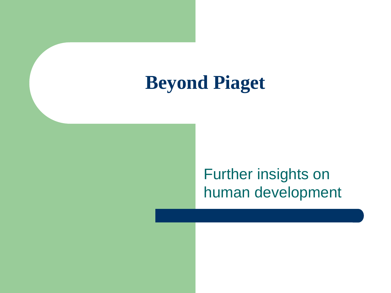## **Beyond Piaget**

#### Further insights on human development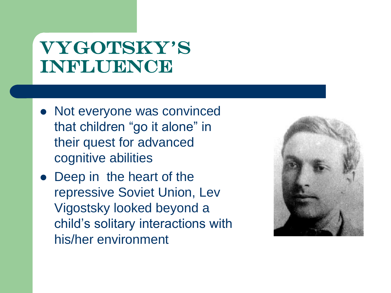#### Vygotsky's **INFLUENCE**

- Not everyone was convinced that children "go it alone" in their quest for advanced cognitive abilities
- Deep in the heart of the repressive Soviet Union, Lev Vigostsky looked beyond a child's solitary interactions with his/her environment

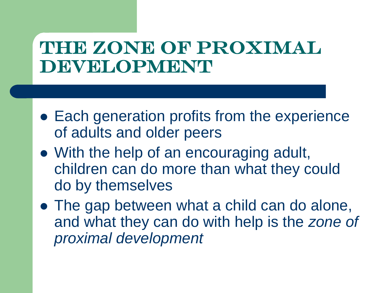#### THE ZONE OF PROXIMAL DEVELOPMENT

- Each generation profits from the experience of adults and older peers
- With the help of an encouraging adult, children can do more than what they could do by themselves
- The gap between what a child can do alone, and what they can do with help is the *zone of proximal development*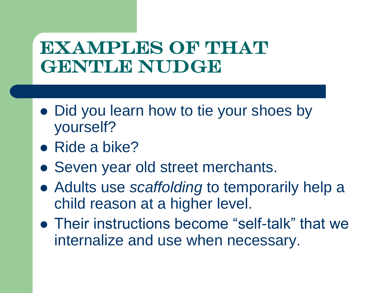#### **EXAMPLES OF THAT** GENTLE NUDGE

- Did you learn how to tie your shoes by yourself?
- Ride a bike?
- Seven year old street merchants.
- Adults use *scaffolding* to temporarily help a child reason at a higher level.
- Their instructions become "self-talk" that we internalize and use when necessary.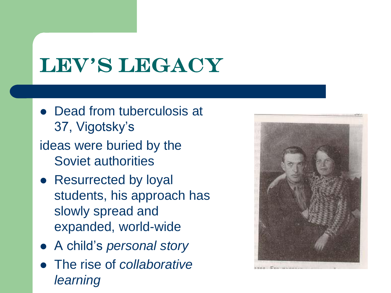# LEV'S LEGACY

- Dead from tuberculosis at 37, Vigotsky's
- ideas were buried by the Soviet authorities
- Resurrected by loyal students, his approach has slowly spread and expanded, world-wide
- A child's *personal story*
- The rise of *collaborative learning*



Gran Pos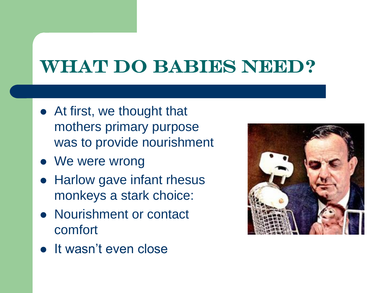### WHAT DO BABIES NEED?

- At first, we thought that mothers primary purpose was to provide nourishment
- We were wrong
- Harlow gave infant rhesus monkeys a stark choice:
- Nourishment or contact comfort
- It wasn't even close

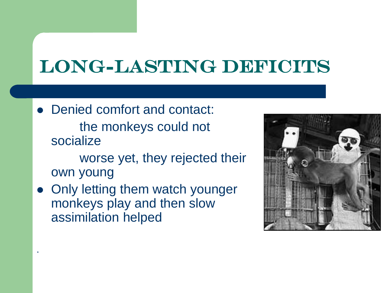## Long-lasting deficits

• Denied comfort and contact: the monkeys could not socialize

 worse yet, they rejected their own young

• Only letting them watch younger monkeys play and then slow assimilation helped

.

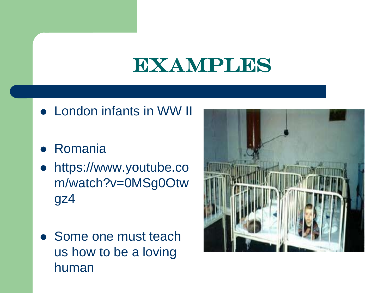### examples

- London infants in WW II
- Romania
- https://www.youtube.co m/watch?v=0MSg0Otw gz4
- Some one must teach us how to be a loving human

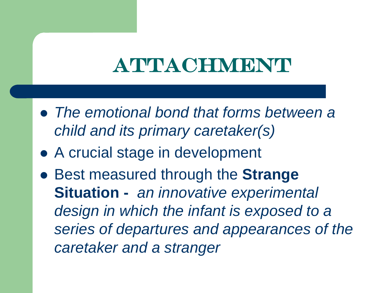## **ATMLACHMENTE**

- *The emotional bond that forms between a child and its primary caretaker(s)*
- A crucial stage in development
- Best measured through the **Strange Situation -** *an innovative experimental design in which the infant is exposed to a series of departures and appearances of the caretaker and a stranger*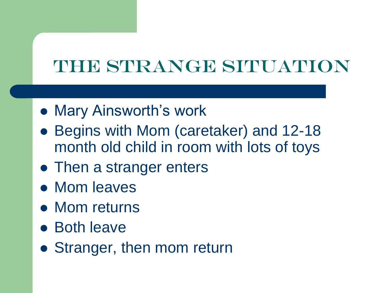#### THE STRANGE SITUATION

- **Mary Ainsworth's work**
- Begins with Mom (caretaker) and 12-18 month old child in room with lots of toys
- Then a stranger enters
- Mom leaves
- Mom returns
- Both leave
- Stranger, then mom return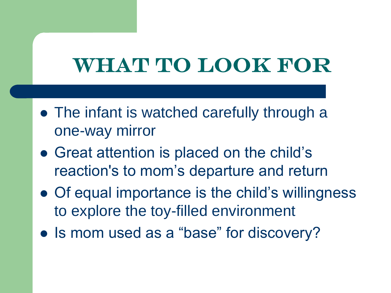# WHAT TO LOOK FOR

- The infant is watched carefully through a one-way mirror
- Great attention is placed on the child's reaction's to mom's departure and return
- Of equal importance is the child's willingness to explore the toy-filled environment
- Is mom used as a "base" for discovery?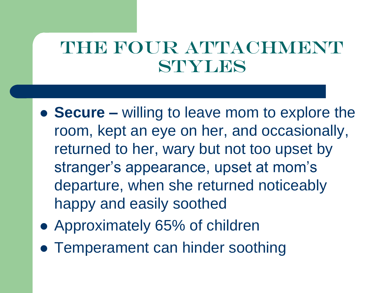#### THE FOUR ATTACHMENT styles

- **Secure –** willing to leave mom to explore the room, kept an eye on her, and occasionally, returned to her, wary but not too upset by stranger's appearance, upset at mom's departure, when she returned noticeably happy and easily soothed
- Approximately 65% of children
- Temperament can hinder soothing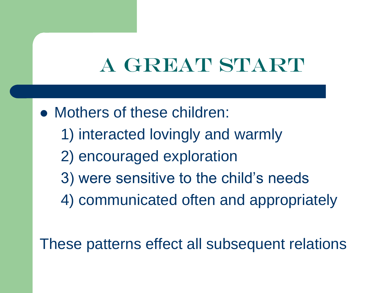## A GREAT START

• Mothers of these children: 1) interacted lovingly and warmly 2) encouraged exploration 3) were sensitive to the child's needs 4) communicated often and appropriately

These patterns effect all subsequent relations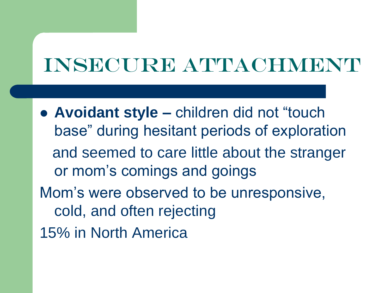# INSECURE ATTACHMENT

 **Avoidant style –** children did not "touch base" during hesitant periods of exploration and seemed to care little about the stranger or mom's comings and goings Mom's were observed to be unresponsive, cold, and often rejecting 15% in North America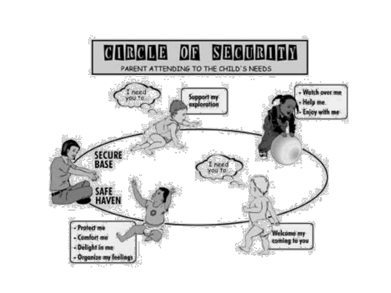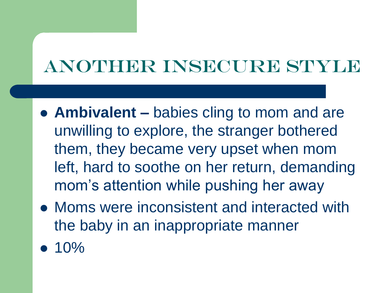### Another insecure style

- **Ambivalent –** babies cling to mom and are unwilling to explore, the stranger bothered them, they became very upset when mom left, hard to soothe on her return, demanding mom's attention while pushing her away
- Moms were inconsistent and interacted with the baby in an inappropriate manner
- $\bullet$  10%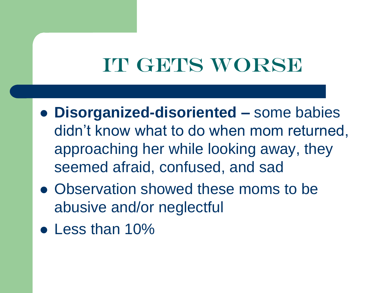# IT GETS WORSE

- **Disorganized-disoriented –** some babies didn't know what to do when mom returned, approaching her while looking away, they seemed afraid, confused, and sad
- Observation showed these moms to be abusive and/or neglectful
- Less than 10%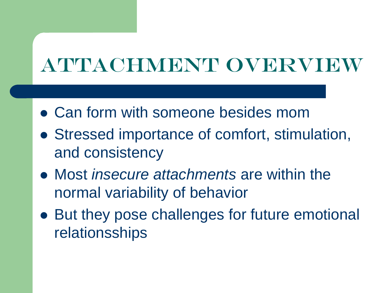# ATTACHMENT OVERVIEW

- Can form with someone besides mom
- Stressed importance of comfort, stimulation, and consistency
- Most *insecure attachments* are within the normal variability of behavior
- But they pose challenges for future emotional relationsships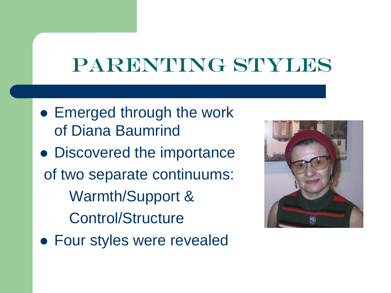# PARENTING STYLES

- **Emerged through the work** of Diana Baumrind
- Discovered the importance of two separate continuums: Warmth/Support & Control/Structure
- Four styles were revealed

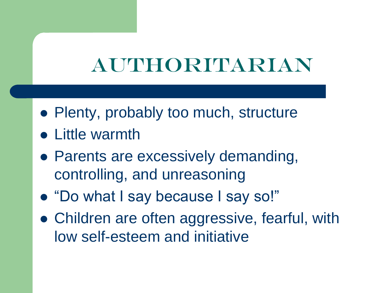## authoritarian

- Plenty, probably too much, structure
- Little warmth
- Parents are excessively demanding, controlling, and unreasoning
- "Do what I say because I say so!"
- Children are often aggressive, fearful, with low self-esteem and initiative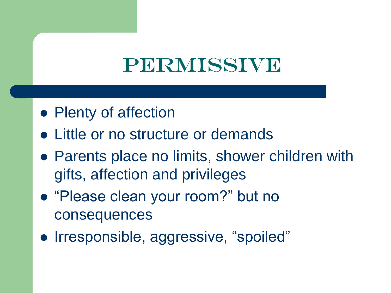## PERMISSIVE

- Plenty of affection
- Little or no structure or demands
- Parents place no limits, shower children with gifts, affection and privileges
- "Please clean your room?" but no consequences
- Irresponsible, aggressive, "spoiled"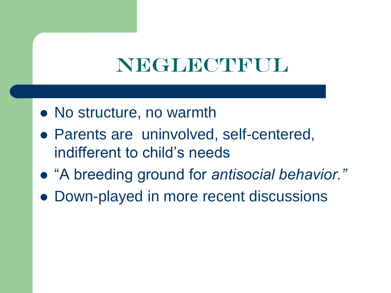## NEGLECTFUL

- No structure, no warmth
- Parents are uninvolved, self-centered, indifferent to child's needs
- "A breeding ground for *antisocial behavior."*
- Down-played in more recent discussions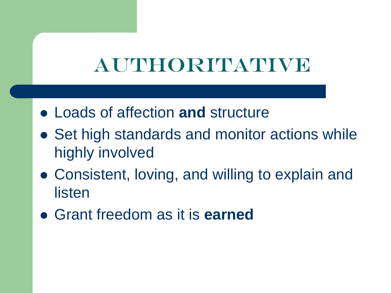# **AUTHORITATIVE**

- Loads of affection **and** structure
- Set high standards and monitor actions while highly involved
- Consistent, loving, and willing to explain and listen
- Grant freedom as it is **earned**